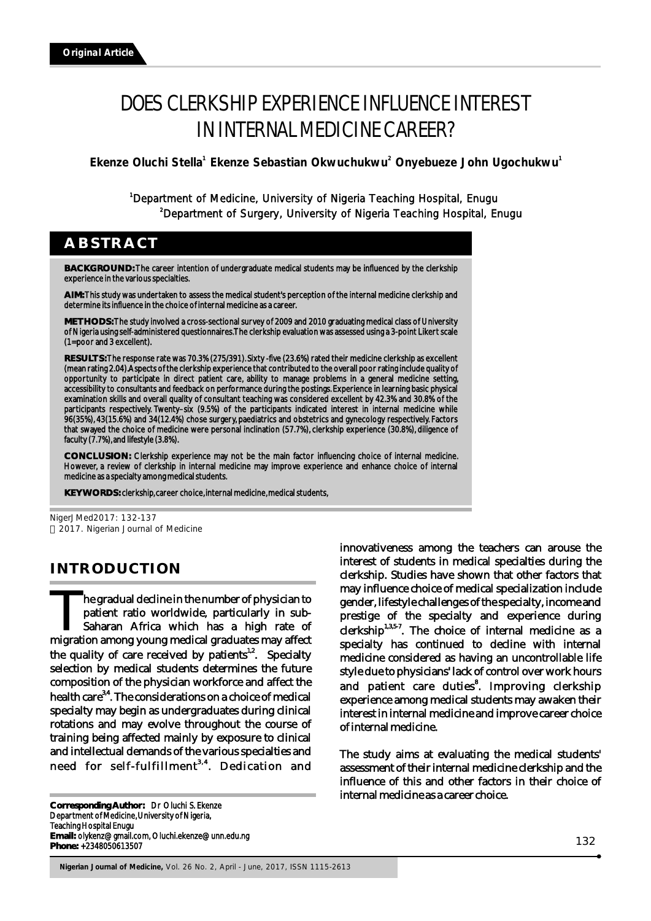# DOES CLERKSHIP EXPERIENCE INFLUENCE INTEREST IN INTERNAL MEDICINE CAREER?

Ekenze Oluchi Stella<sup>1</sup> Ekenze Sebastian Okwuchukwu<sup>2</sup> Onyebueze John Ugochukwu<sup>1</sup>

<sup>1</sup>Department of Medicine, University of Nigeria Teaching Hospital, Enugu 2 Department of Surgery, University of Nigeria Teaching Hospital, Enugu

**ABSTRACT**

**BACKGROUND:** The career intention of undergraduate medical students may be influenced by the clerkship experience in the various specialties.

**AIM:** This study was undertaken to assess the medical student's perception of the internal medicine clerkship and determine its influence in the choice of internal medicine as a career.

**METHODS:** The study involved a cross-sectional survey of 2009 and 2010 graduating medical class of University of Nigeria using self-administered questionnaires. The clerkship evaluation was assessed using a 3-point Likert scale (1=poor and 3 excellent).

**RESULTS:** The response rate was 70.3% (275/391). Sixty -five (23.6%) rated their medicine clerkship as excellent (mean rating 2.04). Aspects of the clerkship experience that contributed to the overall poor rating include quality of opportunity to participate in direct patient care, ability to manage problems in a general medicine setting, accessibility to consultants and feedback on performance during the postings. Experience in learning basic physical examination skills and overall quality of consultant teaching was considered excellent by 42.3% and 30.8% of the participants respectively. Twenty–six (9.5%) of the participants indicated interest in internal medicine while 96(35%), 43(15.6%) and 34(12.4%) chose surgery, paediatrics and obstetrics and gynecology respectively. Factors that swayed the choice of medicine were personal inclination (57.7%), clerkship experience (30.8%), diligence of faculty (7.7%), and lifestyle (3.8%).

**CONCLUSION:** Clerkship experience may not be the main factor influencing choice of internal medicine. However, a review of clerkship in internal medicine may improve experience and enhance choice of internal medicine as a specialty among medical students.

**KEY WORDS:** clerkship, career choice, internal medicine, medical students,

NigerJMed2017: 132-137 2017. Nigerian Journal of Medicine

## **INTRODUCTION**

The gradual decline in the number of physician to The gradual decline in the number of physician to patient ratio worldwide, particularly in sub-<br>Saharan Africa which has a high rate of migration among young medical graduates may affect the quality of care received by patients<sup> $1,2$ </sup>. Specialty selection by medical students determines the future composition of the physician workforce and affect the health care<sup>3,4</sup>. The considerations on a choice of medical specialty may begin as undergraduates during clinical rotations and may evolve throughout the course of training being affected mainly by exposure to clinical and intellectual demands of the various specialties and need for self-fulfillment<sup>3,4</sup>. Dedication and

**Corresponding Author:** Dr Oluchi S. Ekenze Department of Medicine, University of Nigeria, Teaching Hospital Enugu **Email:** olykenz@gmail.com, Oluchi.ekenze@unn.edu.ng **Phone:** +2348050613507

innovativeness among the teachers can arouse the interest of students in medical specialties during the clerkship. Studies have shown that other factors that may influence choice of medical specialization include gender, lifestyle challenges of the specialty, income and prestige of the specialty and experience during  $clerkship<sup>1,3,5-7</sup>$ . The choice of internal medicine as a specialty has continued to decline with internal medicine considered as having an uncontrollable life style due to physicians' lack of control over work hours and patient care duties<sup>8</sup>. Improving clerkship experience among medical students may awaken their interest in internal medicine and improve career choice of internal medicine.

The study aims at evaluating the medical students' assessment of their internal medicine clerkship and the influence of this and other factors in their choice of internal medicine as a career choice.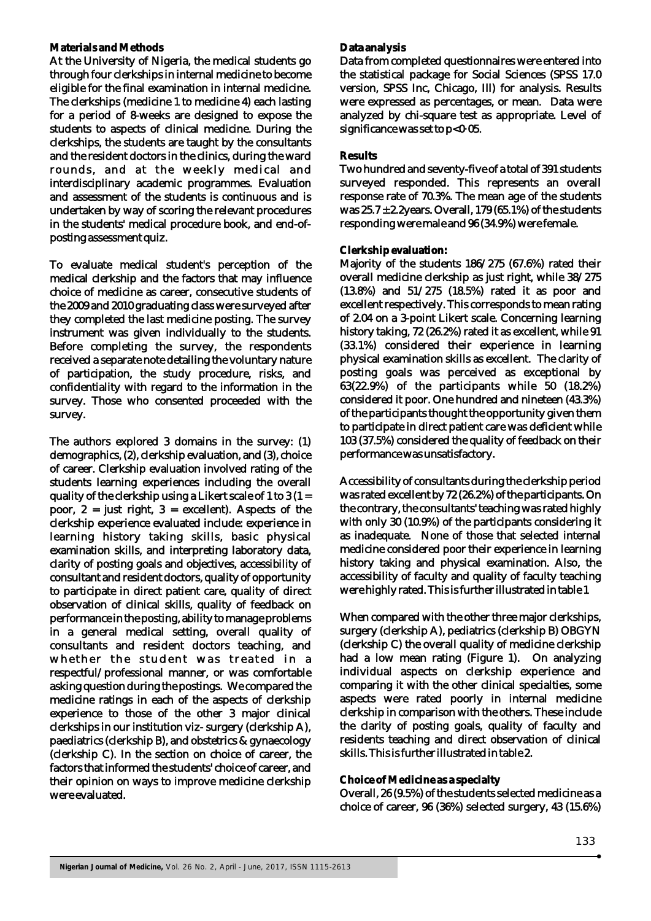#### **Materials and Methods**

At the University of Nigeria, the medical students go through four clerkships in internal medicine to become eligible for the final examination in internal medicine. The clerkships (medicine 1 to medicine 4) each lasting for a period of 8-weeks are designed to expose the students to aspects of clinical medicine. During the clerkships, the students are taught by the consultants and the resident doctors in the clinics, during the ward rounds, and at the weekly medical and interdisciplinary academic programmes. Evaluation and assessment of the students is continuous and is undertaken by way of scoring the relevant procedures in the students' medical procedure book, and end-ofposting assessment quiz.

To evaluate medical student's perception of the medical clerkship and the factors that may influence choice of medicine as career, consecutive students of the 2009 and 2010 graduating class were surveyed after they completed the last medicine posting. The survey instrument was given individually to the students. Before completing the survey, the respondents received a separate note detailing the voluntary nature of participation, the study procedure, risks, and confidentiality with regard to the information in the survey. Those who consented proceeded with the survey.

The authors explored 3 domains in the survey: (1) demographics, (2), clerkship evaluation, and (3), choice of career. Clerkship evaluation involved rating of the students learning experiences including the overall quality of the clerkship using a Likert scale of 1 to 3  $(1$ poor,  $2 =$  just right,  $3 =$  excellent). Aspects of the clerkship experience evaluated include: experience in learning history taking skills, basic physical examination skills, and interpreting laboratory data, clarity of posting goals and objectives, accessibility of consultant and resident doctors, quality of opportunity to participate in direct patient care, quality of direct observation of clinical skills, quality of feedback on performance in the posting, ability to manage problems in a general medical setting, overall quality of consultants and resident doctors teaching, and whether the student was treated in a respectful/professional manner, or was comfortable asking question during the postings. We compared the medicine ratings in each of the aspects of clerkship experience to those of the other 3 major clinical clerkships in our institution viz- surgery (clerkship A), paediatrics (clerkship B), and obstetrics & gynaecology (clerkship C). In the section on choice of career, the factors that informed the students' choice of career, and their opinion on ways to improve medicine clerkship were evaluated.

#### **Data analysis**

Data from completed questionnaires were entered into the statistical package for Social Sciences (SPSS 17.0 version, SPSS Inc, Chicago, Ill) for analysis. Results were expressed as percentages, or mean. Data were analyzed by chi-square test as appropriate. Level of significance was set to p<0.05.

#### **Results**

Two hundred and seventy-five of a total of 391 students surveyed responded. This represents an overall response rate of 70.3%. The mean age of the students was  $25.7 \pm 2.2$ years. Overall, 179 (65.1%) of the students responding were male and 96 (34.9%) were female.

### **Clerkship evaluation:**

Majority of the students 186/275 (67.6%) rated their overall medicine clerkship as just right, while 38/275 (13.8%) and 51/275 (18.5%) rated it as poor and excellent respectively. This corresponds to mean rating of 2.04 on a 3-point Likert scale. Concerning learning history taking, 72 (26.2%) rated it as excellent, while 91 (33.1%) considered their experience in learning physical examination skills as excellent. The clarity of posting goals was perceived as exceptional by 63(22.9%) of the participants while 50 (18.2%) considered it poor. One hundred and nineteen (43.3%) of the participants thought the opportunity given them to participate in direct patient care was deficient while 103 (37.5%) considered the quality of feedback on their performance was unsatisfactory.

Accessibility of consultants during the clerkship period was rated excellent by 72 (26.2%) of the participants. On the contrary, the consultants' teaching was rated highly with only 30 (10.9%) of the participants considering it as inadequate. None of those that selected internal medicine considered poor their experience in learning history taking and physical examination. Also, the accessibility of faculty and quality of faculty teaching were highly rated. This is further illustrated in table 1

When compared with the other three major clerkships, surgery (clerkship A), pediatrics (clerkship B) OBGYN (clerkship C) the overall quality of medicine clerkship had a low mean rating (Figure 1). On analyzing individual aspects on clerkship experience and comparing it with the other clinical specialties, some aspects were rated poorly in internal medicine clerkship in comparison with the others. These include the clarity of posting goals, quality of faculty and residents teaching and direct observation of clinical skills. This is further illustrated in table 2.

#### **Choice of Medicine as a specialty**

Overall, 26 (9.5%) of the students selected medicine as a choice of career, 96 (36%) selected surgery, 43 (15.6%)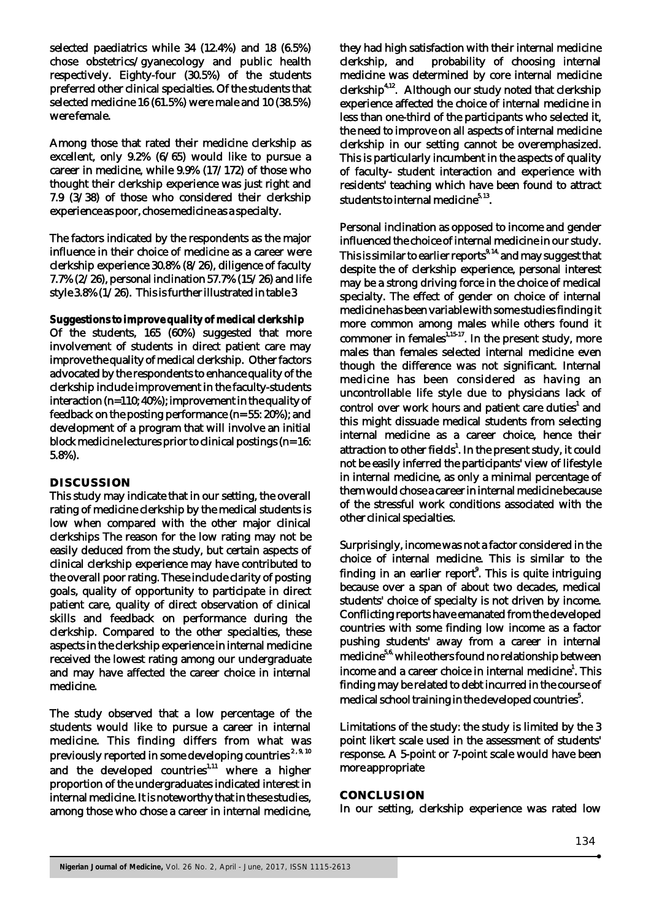selected paediatrics while 34 (12.4%) and 18 (6.5%) chose obstetrics/gyanecology and public health respectively. Eighty-four (30.5%) of the students preferred other clinical specialties. Of the students that selected medicine 16 (61.5%) were male and 10 (38.5%) were female.

Among those that rated their medicine clerkship as excellent, only 9.2% (6/65) would like to pursue a career in medicine, while 9.9% (17/172) of those who thought their clerkship experience was just right and 7.9 (3/38) of those who considered their clerkship experience as poor, chose medicine as a specialty.

The factors indicated by the respondents as the major influence in their choice of medicine as a career were clerkship experience 30.8% (8/26), diligence of faculty 7.7% (2/26), personal inclination 57.7% (15/26) and life style 3.8% (1/26). This is further illustrated in table 3

**Suggestions to improve quality of medical clerkship** Of the students, 165 (60%) suggested that more involvement of students in direct patient care may improve the quality of medical clerkship. Other factors advocated by the respondents to enhance quality of the clerkship include improvement in the faculty-students interaction (n=110; 40%); improvement in the quality of feedback on the posting performance (n= 55: 20%); and development of a program that will involve an initial block medicine lectures prior to clinical postings (n= 16: 5.8%).

#### **DISCUSSION**

This study may indicate that in our setting, the overall rating of medicine clerkship by the medical students is low when compared with the other major clinical clerkships The reason for the low rating may not be easily deduced from the study, but certain aspects of clinical clerkship experience may have contributed to the overall poor rating. These include clarity of posting goals, quality of opportunity to participate in direct patient care, quality of direct observation of clinical skills and feedback on performance during the clerkship. Compared to the other specialties, these aspects in the clerkship experience in internal medicine received the lowest rating among our undergraduate and may have affected the career choice in internal medicine.

The study observed that a low percentage of the students would like to pursue a career in internal medicine. This finding differs from what was previously reported in some developing countries<sup>2,9,10</sup><br>and the developed countries<sup>1,11</sup> where a higher proportion of the undergraduates indicated interest in internal medicine. It is noteworthy that in these studies, among those who chose a career in internal medicine,

they had high satisfaction with their internal medicine clerkship, and probability of choosing internal medicine was determined by core internal medicine  $clerkship$ <sup>4,12</sup>. Although our study noted that clerkship experience affected the choice of internal medicine in less than one-third of the participants who selected it, the need to improve on all aspects of internal medicine clerkship in our setting cannot be overemphasized. This is particularly incumbent in the aspects of quality of faculty- student interaction and experience with residents' teaching which have been found to attract students to internal medicine $^{5,13}$ .

Personal inclination as opposed to income and gender influenced the choice of internal medicine in our study. This is similar to earlier reports<sup>9, 14</sup> and may suggest that despite the of clerkship experience, personal interest may be a strong driving force in the choice of medical specialty. The effect of gender on choice of internal medicine has been variable with some studies finding it more common among males while others found it commoner in females $1,15-17$ . In the present study, more males than females selected internal medicine even though the difference was not significant. Internal medicine has been considered as having an uncontrollable life style due to physicians lack of control over work hours and patient care duties<sup>1</sup> and this might dissuade medical students from selecting internal medicine as a career choice, hence their attraction to other fields<sup>1</sup>. In the present study, it could not be easily inferred the participants' view of lifestyle in internal medicine, as only a minimal percentage of them would chose a career in internal medicine because of the stressful work conditions associated with the other clinical specialties.

Surprisingly, income was not a factor considered in the choice of internal medicine. This is similar to the finding in an earlier report<sup>9</sup>. This is quite intriguing because over a span of about two decades, medical students' choice of specialty is not driven by income. Conflicting reports have emanated from the developed countries with some finding low income as a factor pushing students' away from a career in internal medicine<sup>5,6,</sup> while others found no relationship between income and a career choice in internal medicine<sup>1</sup>. This finding may be related to debt incurred in the course of medical school training in the developed countries<sup>5</sup>.

Limitations of the study: the study is limited by the 3 point likert scale used in the assessment of students' response. A 5-point or 7-point scale would have been more appropriate

#### **CONCLUSION**

In our setting, clerkship experience was rated low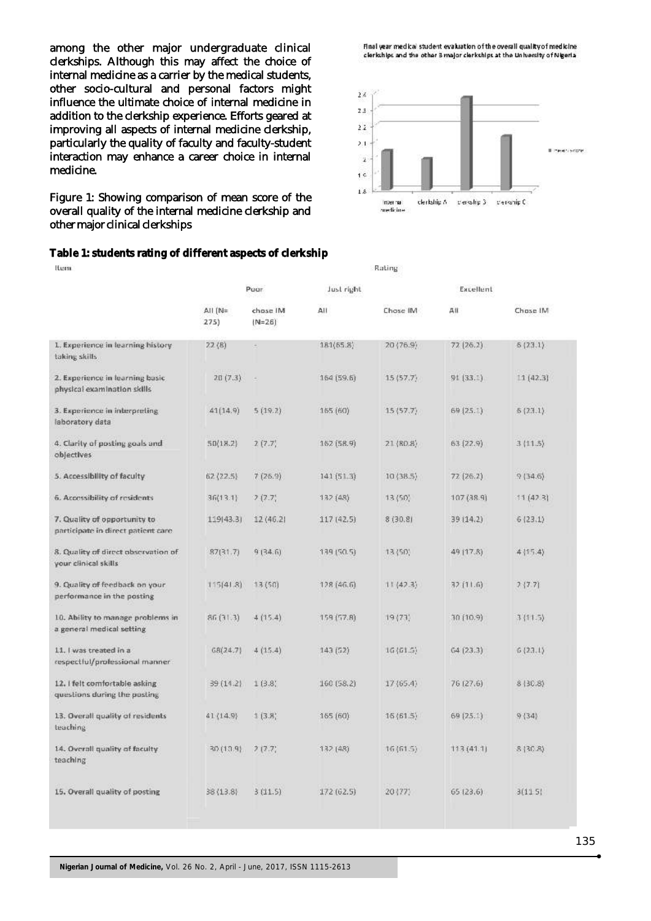among the other major undergraduate clinical clerkships. Although this may affect the choice of internal medicine as a carrier by the medical students, other socio-cultural and personal factors might influence the ultimate choice of internal medicine in addition to the clerkship experience. Efforts geared at improving all aspects of internal medicine clerkship, particularly the quality of faculty and faculty-student interaction may enhance a career choice in internal medicine.

Figure 1: Showing comparison of mean score of the overall quality of the internal medicine clerkship and other major clinical clerkships

#### **Table 1: students rating of different aspects of clerkship**

Just right Excellent Pugr AII (N= chose IM AII Chose IM  $411$ Chose IM  $(N = 26)$  $275)$  $181(65.8)$ 20 (76.9) 1. Experience in learning history  $22(8)$  $72(26.2)$  $6(23.1)$ taking skills 2. Experience in learning basic  $20(7.3)$ i. 164 (59.6)  $15(57.7)$  $91(33.1)$  $11(42.3)$ physical examination skills 3. Experience in interpreting 41(14.9)  $5(19.2)$  $165(60)$  $15(57.7)$ 69 (25.1)  $6(23.1)$ laboratory data 4. Clarity of posting goals and 162 (58.9) 21 (80.8)  $63(22.9)$  $3(11.5)$  $50(18.2)$  $2(7.7)$ objectives 5. Accessibility of faculty  $62(22.5)$  $7(26.9)$  $141(51.3)$  $10(38.5)$  $72(26.2)$  $9(34.6)$ 6. Accessibility of residents 132 (48) 107 (38.9)  $36(13.1)$  $2(7.7)$  $13(50)$  $11(423)$ 7. Quality of opportunity to 39 (14.2)  $6(23.1)$ 119(43.3)  $12(46.2)$ 117 (42.5) 8 (30.8) participate in direct patient care  $9(34.6)$ 8. Quality of direct observation of  $87(31.7)$ 139 (50.5) 13350) 49 (17.8)  $4|15.4\rangle$ your clinical skills 9. Quality of feedback on your  $115(41.8)$  $13(50)$ 128 (46.6)  $11(47.3)$ 32 (11.6)  $7(7.7)$ performance in the posting 10. Ability to manage problems in  $159(57.8)$ 30 (10.9)  $86(31.3)$  $4(15.4)$  $19(73)$  $3(11.5)$ a general medical setting 11. I was treated in a  $68(24.7)$  $4(15.4)$  $16(61.5)$  $64(23.3)$  $6(23.1)$  $143(52)$ respectful/professional manner 12. I felt comfortable asking  $39(14.2)$  $1(3.8)$ 160 (58.2)  $17(65.4)$ 76 (27.6)  $8 | 30.8 \rangle$ questions during the posting 13. Overall quality of residents  $41(14.9)$  $1(3.8)$ 165 (60)  $16(61.5)$  $69(25.1)$  $9(34)$ teaching 14. Overall quality of faculty  $30(10.9)$  $7(7.7)$ 132 (48)  $16(61.5)$  $113(41.1)$  $8(30.8)$ teaching 15. Overall quality of posting 38 (13.8)  $3(11.5)$ 172 (62.5) 20 (77) 65 (23.6)  $3(11.5)$ 

**Nigerian Journal of Medicine,** Vol. 26 No. 2, April - June, 2017, ISSN 1115-2613



Final year medical student evaluation of the overall quality of medicine clerkships and the other 3 major clerkships at the University of Nigeria

medicine

Rating

Rem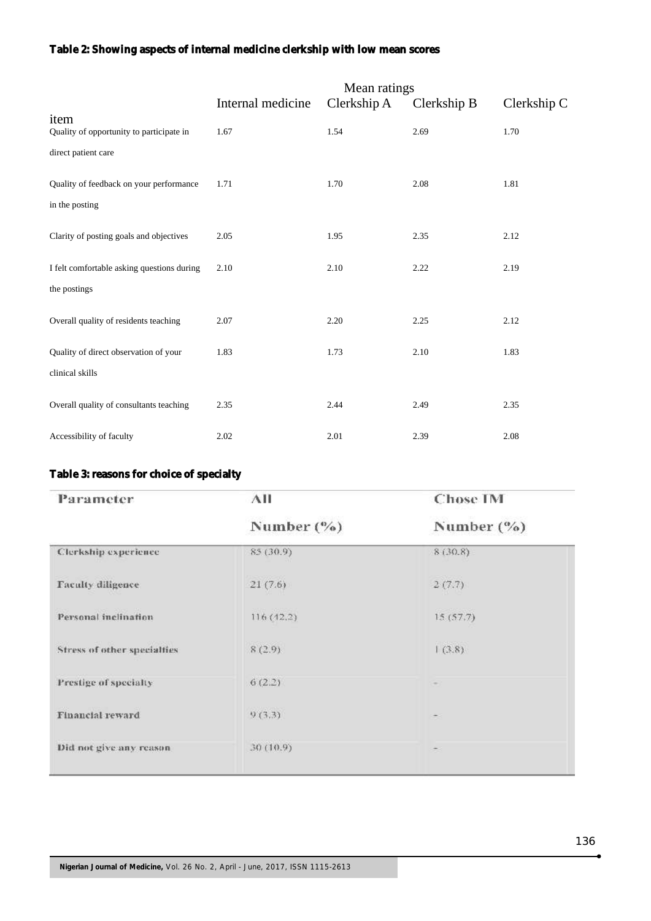# **Table 2: Showing aspects of internal medicine clerkship with low mean scores**

|                                                                         | Mean ratings      |             |             |             |
|-------------------------------------------------------------------------|-------------------|-------------|-------------|-------------|
|                                                                         | Internal medicine | Clerkship A | Clerkship B | Clerkship C |
| item<br>Quality of opportunity to participate in<br>direct patient care | 1.67              | 1.54        | 2.69        | 1.70        |
| Quality of feedback on your performance<br>in the posting               | 1.71              | 1.70        | 2.08        | 1.81        |
| Clarity of posting goals and objectives                                 | 2.05              | 1.95        | 2.35        | 2.12        |
| I felt comfortable asking questions during<br>the postings              | 2.10              | 2.10        | 2.22        | 2.19        |
| Overall quality of residents teaching                                   | 2.07              | 2.20        | 2.25        | 2.12        |
| Quality of direct observation of your<br>clinical skills                | 1.83              | 1.73        | 2.10        | 1.83        |
| Overall quality of consultants teaching                                 | 2.35              | 2.44        | 2.49        | 2.35        |
| Accessibility of faculty                                                | 2.02              | 2.01        | 2.39        | 2.08        |

## **Table 3: reasons for choice of specialty**

| Parameter                   | АII           | <b>Chose IM</b> |  |
|-----------------------------|---------------|-----------------|--|
|                             | Number $(\%)$ | Number $(\%)$   |  |
| Clerkship experience        | 85 (30.9)     | 8(30.8)         |  |
| <b>Taculty diligence</b>    | 21(7.6)       | 2(7.7)          |  |
| Personal inclination        | 116 (42.2)    | 15(57,7)        |  |
| Stress of other specialties | 8(2.9)        | (3.8)           |  |
| Prestige of specialty       | 6(2.2)        |                 |  |
| <b>Financial reward</b>     | 9(3,3)        |                 |  |
| Did not give any reason     | 30 (10.9)     |                 |  |
|                             |               |                 |  |